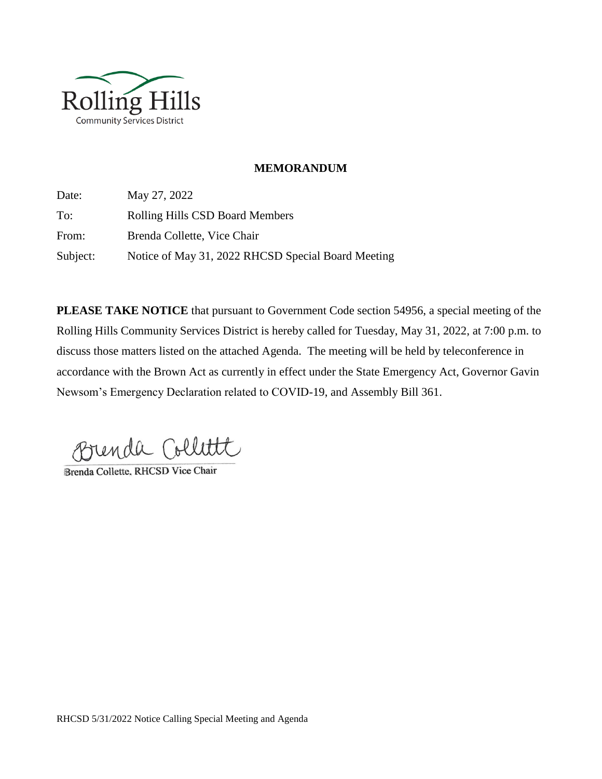

#### **MEMORANDUM**

Date: May 27, 2022 To: Rolling Hills CSD Board Members From: Brenda Collette, Vice Chair Subject: Notice of May 31, 2022 RHCSD Special Board Meeting

**PLEASE TAKE NOTICE** that pursuant to Government Code section 54956, a special meeting of the Rolling Hills Community Services District is hereby called for Tuesday, May 31, 2022, at 7:00 p.m. to discuss those matters listed on the attached Agenda. The meeting will be held by teleconference in accordance with the Brown Act as currently in effect under the State Emergency Act, Governor Gavin Newsom's Emergency Declaration related to COVID-19, and Assembly Bill 361.

Brenda Collitt

Brenda Collette, RHCSD Vice Chair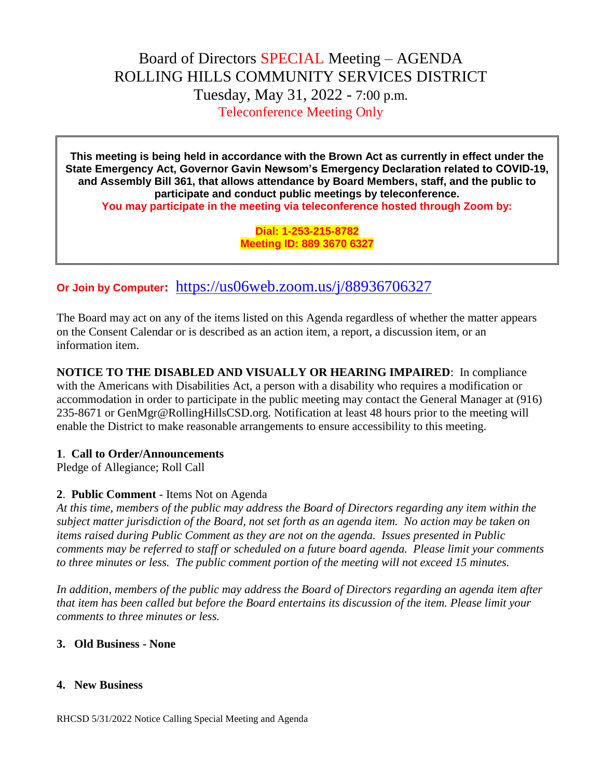# Board of Directors SPECIAL Meeting – AGENDA ROLLING HILLS COMMUNITY SERVICES DISTRICT Tuesday, May 31, 2022 - 7:00 p.m. Teleconference Meeting Only

**This meeting is being held in accordance with the Brown Act as currently in effect under the State Emergency Act, Governor Gavin Newsom's Emergency Declaration related to COVID-19, and Assembly Bill 361, that allows attendance by Board Members, staff, and the public to participate and conduct public meetings by teleconference. You may participate in the meeting via teleconference hosted through Zoom by:**

> **Dial: 1-253-215-8782 Meeting ID: 889 3670 6327**

# **Or Join by Computer:** <https://us06web.zoom.us/j/88936706327>

The Board may act on any of the items listed on this Agenda regardless of whether the matter appears on the Consent Calendar or is described as an action item, a report, a discussion item, or an information item.

**NOTICE TO THE DISABLED AND VISUALLY OR HEARING IMPAIRED**: In compliance with the Americans with Disabilities Act, a person with a disability who requires a modification or accommodation in order to participate in the public meeting may contact the General Manager at (916) 235-8671 or GenMgr@RollingHillsCSD.org. Notification at least 48 hours prior to the meeting will enable the District to make reasonable arrangements to ensure accessibility to this meeting.

#### **1**. **Call to Order/Announcements**

Pledge of Allegiance; Roll Call

## **2**. **Public Comment** - Items Not on Agenda

*At this time, members of the public may address the Board of Directors regarding any item within the subject matter jurisdiction of the Board, not set forth as an agenda item. No action may be taken on items raised during Public Comment as they are not on the agenda. Issues presented in Public comments may be referred to staff or scheduled on a future board agenda. Please limit your comments to three minutes or less. The public comment portion of the meeting will not exceed 15 minutes.*

*In addition, members of the public may address the Board of Directors regarding an agenda item after that item has been called but before the Board entertains its discussion of the item. Please limit your comments to three minutes or less.*

## **3. Old Business - None**

#### **4. New Business**